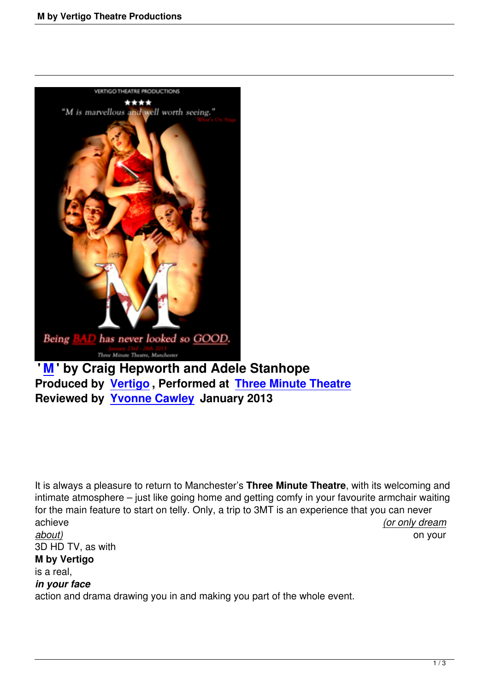

**[Rev](m-vertigo-theatre-productions.html)iewed by Yvonne Cawley January 2013**

It is always a pleasure to return to Manchester's **Three Minute Theatre**, with its welcoming and intimate atmosphere – just like going home and getting comfy in your favourite armchair waiting for the main feature to start on telly. Only, a trip to 3MT is an experience that you can never achieve *(or only dream about)* on your 3D HD TV, as with

## **M by Vertigo**

is a real,

## *in your face*

action and drama drawing you in and making you part of the whole event.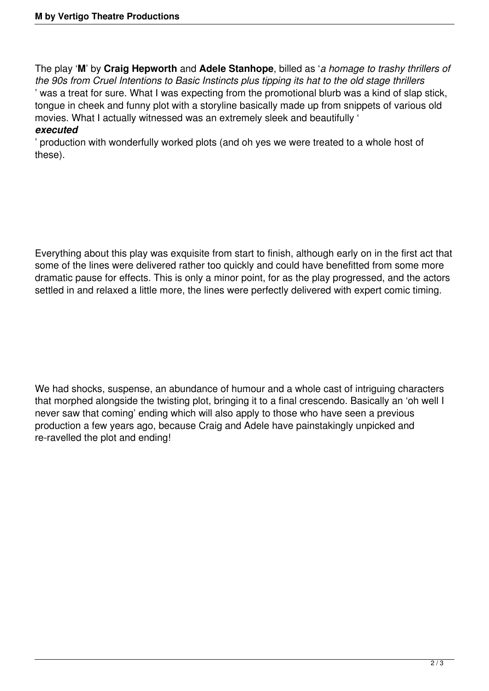The play '**M**' by **Craig Hepworth** and **Adele Stanhope**, billed as '*a homage to trashy thrillers of the 90s from Cruel Intentions to Basic Instincts plus tipping its hat to the old stage thrillers* ' was a treat for sure. What I was expecting from the promotional blurb was a kind of slap stick, tongue in cheek and funny plot with a storyline basically made up from snippets of various old movies. What I actually witnessed was an extremely sleek and beautifully ' *executed*

' production with wonderfully worked plots (and oh yes we were treated to a whole host of these).

Everything about this play was exquisite from start to finish, although early on in the first act that some of the lines were delivered rather too quickly and could have benefitted from some more dramatic pause for effects. This is only a minor point, for as the play progressed, and the actors settled in and relaxed a little more, the lines were perfectly delivered with expert comic timing.

We had shocks, suspense, an abundance of humour and a whole cast of intriguing characters that morphed alongside the twisting plot, bringing it to a final crescendo. Basically an 'oh well I never saw that coming' ending which will also apply to those who have seen a previous production a few years ago, because Craig and Adele have painstakingly unpicked and re-ravelled the plot and ending!